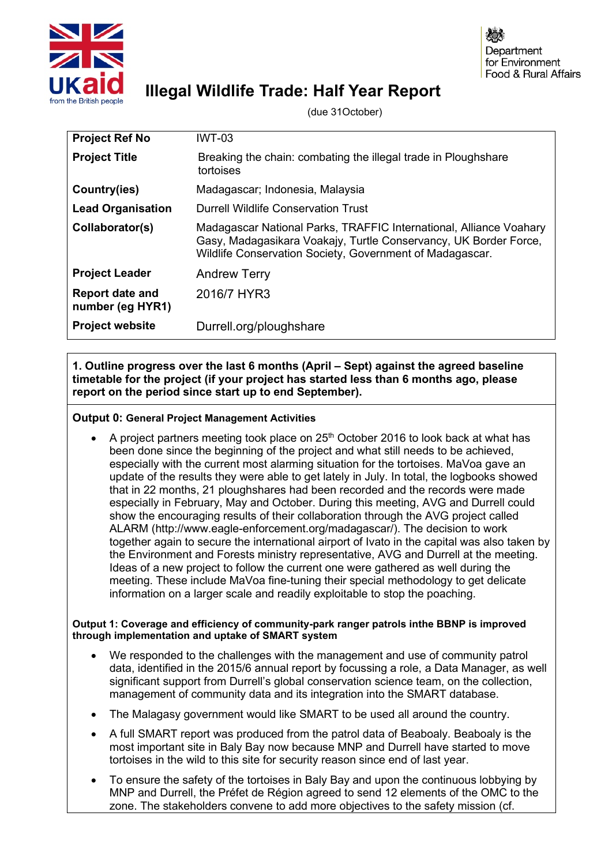

# **Illegal Wildlife Trade: Half Year Report**

(due 31October)

| <b>Project Ref No</b>                      | <b>IWT-03</b>                                                                                                                                                                                      |  |
|--------------------------------------------|----------------------------------------------------------------------------------------------------------------------------------------------------------------------------------------------------|--|
| <b>Project Title</b>                       | Breaking the chain: combating the illegal trade in Ploughshare<br>tortoises                                                                                                                        |  |
| Country(ies)                               | Madagascar; Indonesia, Malaysia                                                                                                                                                                    |  |
| <b>Lead Organisation</b>                   | Durrell Wildlife Conservation Trust                                                                                                                                                                |  |
| Collaborator(s)                            | Madagascar National Parks, TRAFFIC International, Alliance Voahary<br>Gasy, Madagasikara Voakajy, Turtle Conservancy, UK Border Force,<br>Wildlife Conservation Society, Government of Madagascar. |  |
| <b>Project Leader</b>                      | <b>Andrew Terry</b>                                                                                                                                                                                |  |
| <b>Report date and</b><br>number (eg HYR1) | 2016/7 HYR3                                                                                                                                                                                        |  |
| <b>Project website</b>                     | Durrell.org/ploughshare                                                                                                                                                                            |  |

**1. Outline progress over the last 6 months (April – Sept) against the agreed baseline timetable for the project (if your project has started less than 6 months ago, please report on the period since start up to end September).**

# **Output 0: General Project Management Activities**

A project partners meeting took place on  $25<sup>th</sup>$  October 2016 to look back at what has been done since the beginning of the project and what still needs to be achieved, especially with the current most alarming situation for the tortoises. MaVoa gave an update of the results they were able to get lately in July. In total, the logbooks showed that in 22 months, 21 ploughshares had been recorded and the records were made especially in February, May and October. During this meeting, AVG and Durrell could show the encouraging results of their collaboration through the AVG project called ALARM (http://www.eagle-enforcement.org/madagascar/). The decision to work together again to secure the international airport of Ivato in the capital was also taken by the Environment and Forests ministry representative, AVG and Durrell at the meeting. Ideas of a new project to follow the current one were gathered as well during the meeting. These include MaVoa fine-tuning their special methodology to get delicate information on a larger scale and readily exploitable to stop the poaching.

## **Output 1: Coverage and efficiency of community-park ranger patrols inthe BBNP is improved through implementation and uptake of SMART system**

- We responded to the challenges with the management and use of community patrol data, identified in the 2015/6 annual report by focussing a role, a Data Manager, as well significant support from Durrell's global conservation science team, on the collection, management of community data and its integration into the SMART database.
- The Malagasy government would like SMART to be used all around the country.
- A full SMART report was produced from the patrol data of Beaboaly. Beaboaly is the most important site in Baly Bay now because MNP and Durrell have started to move tortoises in the wild to this site for security reason since end of last year.
- To ensure the safety of the tortoises in Baly Bay and upon the continuous lobbying by MNP and Durrell, the Préfet de Région agreed to send 12 elements of the OMC to the zone. The stakeholders convene to add more objectives to the safety mission (cf.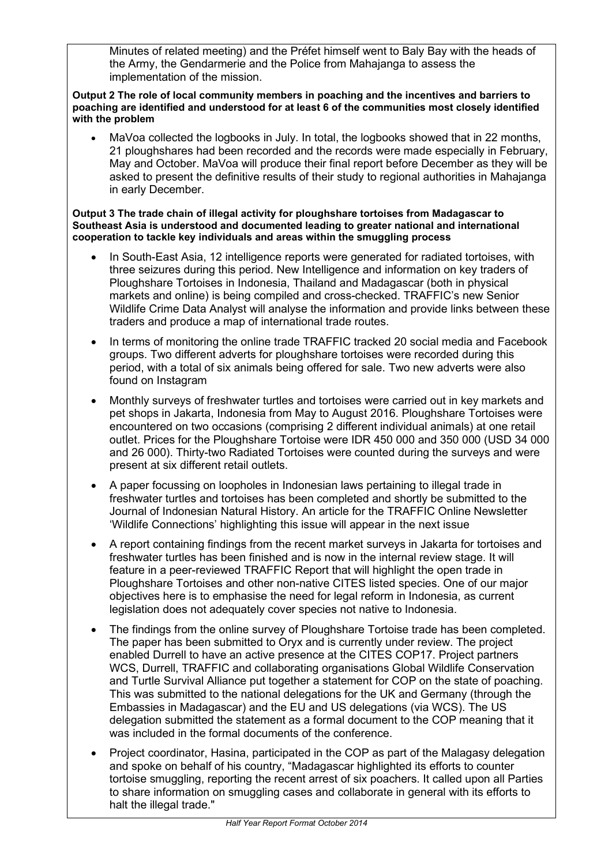Minutes of related meeting) and the Préfet himself went to Baly Bay with the heads of the Army, the Gendarmerie and the Police from Mahajanga to assess the implementation of the mission.

**Output 2 The role of local community members in poaching and the incentives and barriers to poaching are identified and understood for at least 6 of the communities most closely identified with the problem**

• MaVoa collected the logbooks in July. In total, the logbooks showed that in 22 months, 21 ploughshares had been recorded and the records were made especially in February, May and October. MaVoa will produce their final report before December as they will be asked to present the definitive results of their study to regional authorities in Mahajanga in early December.

#### **Output 3 The trade chain of illegal activity for ploughshare tortoises from Madagascar to Southeast Asia is understood and documented leading to greater national and international cooperation to tackle key individuals and areas within the smuggling process**

- In South-East Asia, 12 intelligence reports were generated for radiated tortoises, with three seizures during this period. New Intelligence and information on key traders of Ploughshare Tortoises in Indonesia, Thailand and Madagascar (both in physical markets and online) is being compiled and cross-checked. TRAFFIC's new Senior Wildlife Crime Data Analyst will analyse the information and provide links between these traders and produce a map of international trade routes.
- In terms of monitoring the online trade TRAFFIC tracked 20 social media and Facebook groups. Two different adverts for ploughshare tortoises were recorded during this period, with a total of six animals being offered for sale. Two new adverts were also found on Instagram
- Monthly surveys of freshwater turtles and tortoises were carried out in key markets and pet shops in Jakarta, Indonesia from May to August 2016. Ploughshare Tortoises were encountered on two occasions (comprising 2 different individual animals) at one retail outlet. Prices for the Ploughshare Tortoise were IDR 450 000 and 350 000 (USD 34 000 and 26 000). Thirty-two Radiated Tortoises were counted during the surveys and were present at six different retail outlets.
- A paper focussing on loopholes in Indonesian laws pertaining to illegal trade in freshwater turtles and tortoises has been completed and shortly be submitted to the Journal of Indonesian Natural History. An article for the TRAFFIC Online Newsletter 'Wildlife Connections' highlighting this issue will appear in the next issue
- A report containing findings from the recent market surveys in Jakarta for tortoises and freshwater turtles has been finished and is now in the internal review stage. It will feature in a peer-reviewed TRAFFIC Report that will highlight the open trade in Ploughshare Tortoises and other non-native CITES listed species. One of our major objectives here is to emphasise the need for legal reform in Indonesia, as current legislation does not adequately cover species not native to Indonesia.
- The findings from the online survey of Ploughshare Tortoise trade has been completed. The paper has been submitted to Oryx and is currently under review. The project enabled Durrell to have an active presence at the CITES COP17. Project partners WCS, Durrell, TRAFFIC and collaborating organisations Global Wildlife Conservation and Turtle Survival Alliance put together a statement for COP on the state of poaching. This was submitted to the national delegations for the UK and Germany (through the Embassies in Madagascar) and the EU and US delegations (via WCS). The US delegation submitted the statement as a formal document to the COP meaning that it was included in the formal documents of the conference.
- Project coordinator, Hasina, participated in the COP as part of the Malagasy delegation and spoke on behalf of his country, "Madagascar highlighted its efforts to counter tortoise smuggling, reporting the recent arrest of six poachers. It called upon all Parties to share information on smuggling cases and collaborate in general with its efforts to halt the illegal trade."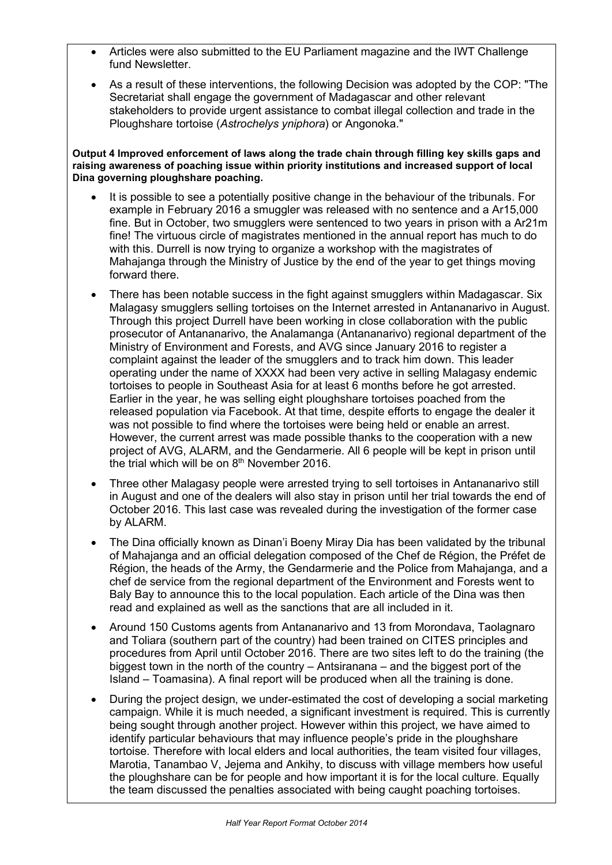- Articles were also submitted to the EU Parliament magazine and the IWT Challenge fund Newsletter.
- As a result of these interventions, the following Decision was adopted by the COP: "The Secretariat shall engage the government of Madagascar and other relevant stakeholders to provide urgent assistance to combat illegal collection and trade in the Ploughshare tortoise (*Astrochelys yniphora*) or Angonoka."

#### **Output 4 Improved enforcement of laws along the trade chain through filling key skills gaps and raising awareness of poaching issue within priority institutions and increased support of local Dina governing ploughshare poaching.**

- It is possible to see a potentially positive change in the behaviour of the tribunals. For example in February 2016 a smuggler was released with no sentence and a Ar15,000 fine. But in October, two smugglers were sentenced to two years in prison with a Ar21m fine! The virtuous circle of magistrates mentioned in the annual report has much to do with this. Durrell is now trying to organize a workshop with the magistrates of Mahajanga through the Ministry of Justice by the end of the year to get things moving forward there.
- There has been notable success in the fight against smugglers within Madagascar. Six Malagasy smugglers selling tortoises on the Internet arrested in Antananarivo in August. Through this project Durrell have been working in close collaboration with the public prosecutor of Antananarivo, the Analamanga (Antananarivo) regional department of the Ministry of Environment and Forests, and AVG since January 2016 to register a complaint against the leader of the smugglers and to track him down. This leader operating under the name of XXXX had been very active in selling Malagasy endemic tortoises to people in Southeast Asia for at least 6 months before he got arrested. Earlier in the year, he was selling eight ploughshare tortoises poached from the released population via Facebook. At that time, despite efforts to engage the dealer it was not possible to find where the tortoises were being held or enable an arrest. However, the current arrest was made possible thanks to the cooperation with a new project of AVG, ALARM, and the Gendarmerie. All 6 people will be kept in prison until the trial which will be on  $8<sup>th</sup>$  November 2016.
- Three other Malagasy people were arrested trying to sell tortoises in Antananarivo still in August and one of the dealers will also stay in prison until her trial towards the end of October 2016. This last case was revealed during the investigation of the former case by ALARM.
- The Dina officially known as Dinan'i Boeny Miray Dia has been validated by the tribunal of Mahajanga and an official delegation composed of the Chef de Région, the Préfet de Région, the heads of the Army, the Gendarmerie and the Police from Mahajanga, and a chef de service from the regional department of the Environment and Forests went to Baly Bay to announce this to the local population. Each article of the Dina was then read and explained as well as the sanctions that are all included in it.
- Around 150 Customs agents from Antananarivo and 13 from Morondava, Taolagnaro and Toliara (southern part of the country) had been trained on CITES principles and procedures from April until October 2016. There are two sites left to do the training (the biggest town in the north of the country – Antsiranana – and the biggest port of the Island – Toamasina). A final report will be produced when all the training is done.
- During the project design, we under-estimated the cost of developing a social marketing campaign. While it is much needed, a significant investment is required. This is currently being sought through another project. However within this project, we have aimed to identify particular behaviours that may influence people's pride in the ploughshare tortoise. Therefore with local elders and local authorities, the team visited four villages, Marotia, Tanambao V, Jejema and Ankihy, to discuss with village members how useful the ploughshare can be for people and how important it is for the local culture. Equally the team discussed the penalties associated with being caught poaching tortoises.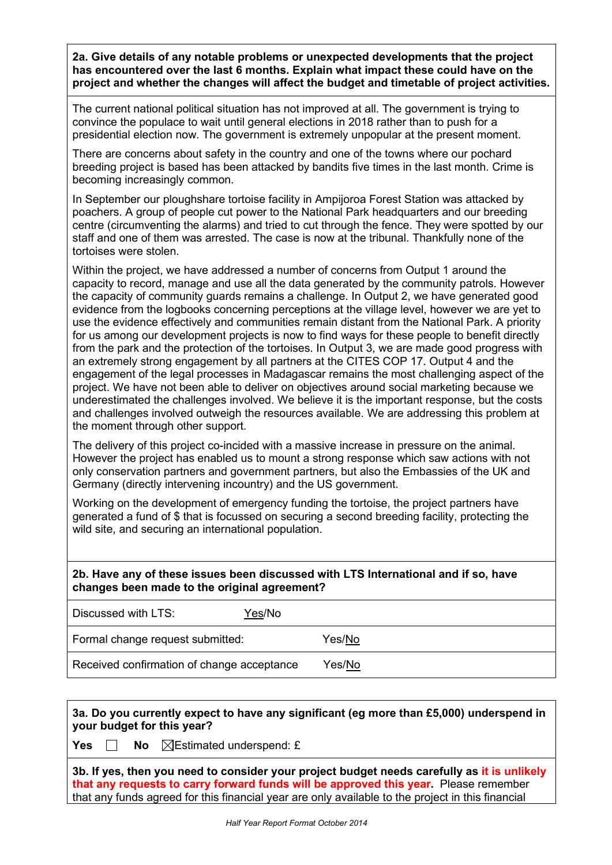**2a. Give details of any notable problems or unexpected developments that the project has encountered over the last 6 months. Explain what impact these could have on the project and whether the changes will affect the budget and timetable of project activities.**

The current national political situation has not improved at all. The government is trying to convince the populace to wait until general elections in 2018 rather than to push for a presidential election now. The government is extremely unpopular at the present moment.

There are concerns about safety in the country and one of the towns where our pochard breeding project is based has been attacked by bandits five times in the last month. Crime is becoming increasingly common.

In September our ploughshare tortoise facility in Ampijoroa Forest Station was attacked by poachers. A group of people cut power to the National Park headquarters and our breeding centre (circumventing the alarms) and tried to cut through the fence. They were spotted by our staff and one of them was arrested. The case is now at the tribunal. Thankfully none of the tortoises were stolen.

Within the project, we have addressed a number of concerns from Output 1 around the capacity to record, manage and use all the data generated by the community patrols. However the capacity of community guards remains a challenge. In Output 2, we have generated good evidence from the logbooks concerning perceptions at the village level, however we are yet to use the evidence effectively and communities remain distant from the National Park. A priority for us among our development projects is now to find ways for these people to benefit directly from the park and the protection of the tortoises. In Output 3, we are made good progress with an extremely strong engagement by all partners at the CITES COP 17. Output 4 and the engagement of the legal processes in Madagascar remains the most challenging aspect of the project. We have not been able to deliver on objectives around social marketing because we underestimated the challenges involved. We believe it is the important response, but the costs and challenges involved outweigh the resources available. We are addressing this problem at the moment through other support.

The delivery of this project co-incided with a massive increase in pressure on the animal. However the project has enabled us to mount a strong response which saw actions with not only conservation partners and government partners, but also the Embassies of the UK and Germany (directly intervening incountry) and the US government.

Working on the development of emergency funding the tortoise, the project partners have generated a fund of \$ that is focussed on securing a second breeding facility, protecting the wild site, and securing an international population.

# **2b. Have any of these issues been discussed with LTS International and if so, have changes been made to the original agreement?**

| Discussed with LTS:                        | Yes/No |        |
|--------------------------------------------|--------|--------|
| Formal change request submitted:           |        | Yes/No |
| Received confirmation of change acceptance |        | Yes/No |

**3a. Do you currently expect to have any significant (eg more than £5,000) underspend in your budget for this year?**

**Yes**  $\Box$  **No**  $\Box$  Estimated underspend: £

**3b. If yes, then you need to consider your project budget needs carefully as it is unlikely that any requests to carry forward funds will be approved this year.** Please remember that any funds agreed for this financial year are only available to the project in this financial